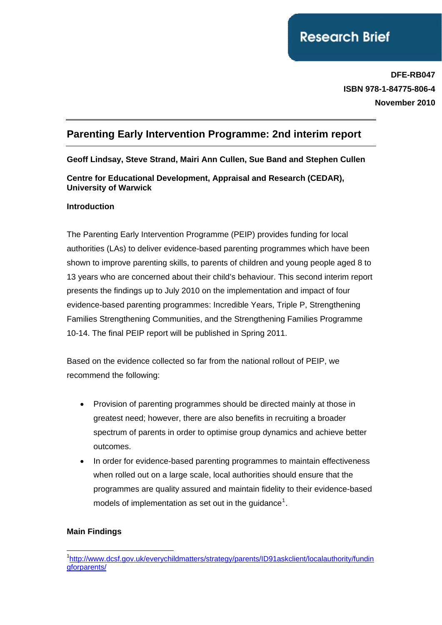# **Research Brief**

**DFE-RB047 ISBN 978-1-84775-806-4 November 2010**

## **Parenting Early Intervention Programme: 2nd interim report**

**Geoff Lindsay, Steve Strand, Mairi Ann Cullen, Sue Band and Stephen Cullen** 

**Centre for Educational Development, Appraisal and Research (CEDAR), University of Warwick** 

#### **Introduction**

The Parenting Early Intervention Programme (PEIP) provides funding for local authorities (LAs) to deliver evidence-based parenting programmes which have been shown to improve parenting skills, to parents of children and young people aged 8 to 13 years who are concerned about their child's behaviour. This second interim report presents the findings up to July 2010 on the implementation and impact of four evidence-based parenting programmes: Incredible Years, Triple P, Strengthening Families Strengthening Communities, and the Strengthening Families Programme 10-14. The final PEIP report will be published in Spring 2011.

Based on the evidence collected so far from the national rollout of PEIP, we recommend the following:

- Provision of parenting programmes should be directed mainly at those in greatest need; however, there are also benefits in recruiting a broader spectrum of parents in order to optimise group dynamics and achieve better outcomes.
- In order for evidence-based parenting programmes to maintain effectiveness when rolled out on a large scale, local authorities should ensure that the programmes are quality assured and maintain fidelity to their evidence-based models of implementation as set out in the guidance<sup>[1](#page-0-0)</sup>.

### **Main Findings**

<span id="page-0-0"></span><sup>1</sup> <sup>1</sup>[http://www.dcsf.gov.uk/everychildmatters/strategy/parents/ID91askclient/localauthority/fundin](http://www.dcsf.gov.uk/everychildmatters/strategy/parents/ID91askclient/localauthority/fundingforparents/) [gforparents/](http://www.dcsf.gov.uk/everychildmatters/strategy/parents/ID91askclient/localauthority/fundingforparents/)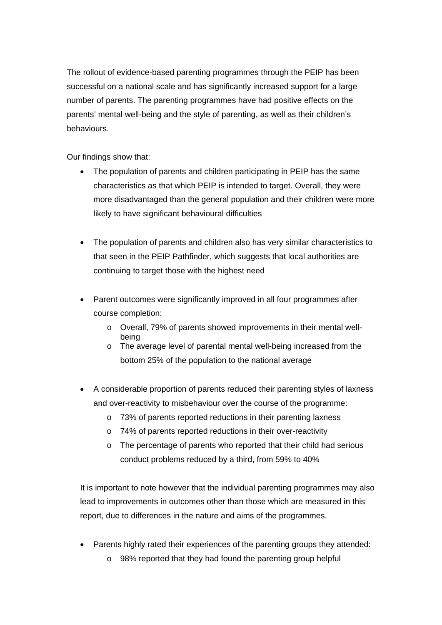The rollout of evidence-based parenting programmes through the PEIP has been successful on a national scale and has significantly increased support for a large number of parents. The parenting programmes have had positive effects on the parents' mental well-being and the style of parenting, as well as their children's behaviours.

Our findings show that:

- The population of parents and children participating in PEIP has the same characteristics as that which PEIP is intended to target. Overall, they were more disadvantaged than the general population and their children were more likely to have significant behavioural difficulties
- The population of parents and children also has very similar characteristics to that seen in the PEIP Pathfinder, which suggests that local authorities are continuing to target those with the highest need
- Parent outcomes were significantly improved in all four programmes after course completion:
	- o Overall, 79% of parents showed improvements in their mental wellbeing
	- o The average level of parental mental well-being increased from the bottom 25% of the population to the national average
- A considerable proportion of parents reduced their parenting styles of laxness and over-reactivity to misbehaviour over the course of the programme:
	- o 73% of parents reported reductions in their parenting laxness
	- o 74% of parents reported reductions in their over-reactivity
	- o The percentage of parents who reported that their child had serious conduct problems reduced by a third, from 59% to 40%

It is important to note however that the individual parenting programmes may also lead to improvements in outcomes other than those which are measured in this report, due to differences in the nature and aims of the programmes.

- Parents highly rated their experiences of the parenting groups they attended:
	- o 98% reported that they had found the parenting group helpful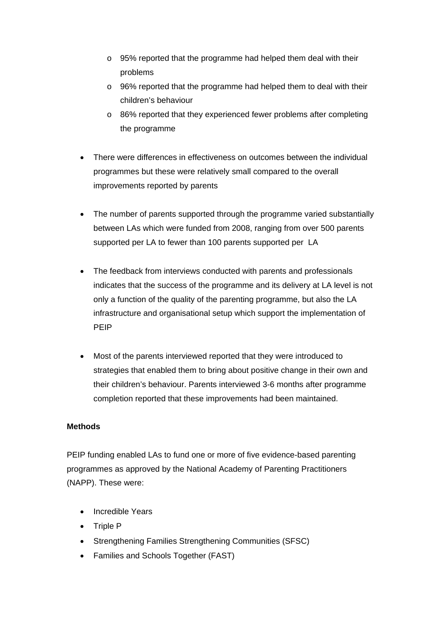- o 95% reported that the programme had helped them deal with their problems
- o 96% reported that the programme had helped them to deal with their children's behaviour
- o 86% reported that they experienced fewer problems after completing the programme
- There were differences in effectiveness on outcomes between the individual programmes but these were relatively small compared to the overall improvements reported by parents
- The number of parents supported through the programme varied substantially between LAs which were funded from 2008, ranging from over 500 parents supported per LA to fewer than 100 parents supported per LA
- The feedback from interviews conducted with parents and professionals indicates that the success of the programme and its delivery at LA level is not only a function of the quality of the parenting programme, but also the LA infrastructure and organisational setup which support the implementation of PEIP
- Most of the parents interviewed reported that they were introduced to strategies that enabled them to bring about positive change in their own and their children's behaviour. Parents interviewed 3-6 months after programme completion reported that these improvements had been maintained.

#### **Methods**

PEIP funding enabled LAs to fund one or more of five evidence-based parenting programmes as approved by the National Academy of Parenting Practitioners (NAPP). These were:

- Incredible Years
- Triple P
- Strengthening Families Strengthening Communities (SFSC)
- Families and Schools Together (FAST)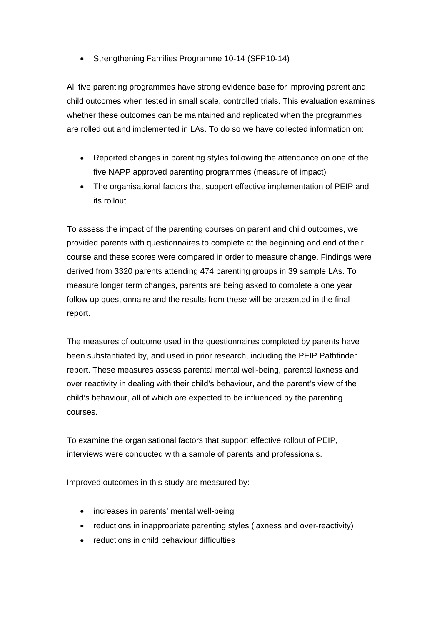• Strengthening Families Programme 10-14 (SFP10-14)

All five parenting programmes have strong evidence base for improving parent and child outcomes when tested in small scale, controlled trials. This evaluation examines whether these outcomes can be maintained and replicated when the programmes are rolled out and implemented in LAs. To do so we have collected information on:

- Reported changes in parenting styles following the attendance on one of the five NAPP approved parenting programmes (measure of impact)
- The organisational factors that support effective implementation of PEIP and its rollout

To assess the impact of the parenting courses on parent and child outcomes, we provided parents with questionnaires to complete at the beginning and end of their course and these scores were compared in order to measure change. Findings were derived from 3320 parents attending 474 parenting groups in 39 sample LAs. To measure longer term changes, parents are being asked to complete a one year follow up questionnaire and the results from these will be presented in the final report.

The measures of outcome used in the questionnaires completed by parents have been substantiated by, and used in prior research, including the PEIP Pathfinder report. These measures assess parental mental well-being, parental laxness and over reactivity in dealing with their child's behaviour, and the parent's view of the child's behaviour, all of which are expected to be influenced by the parenting courses.

To examine the organisational factors that support effective rollout of PEIP, interviews were conducted with a sample of parents and professionals.

Improved outcomes in this study are measured by:

- increases in parents' mental well-being
- reductions in inappropriate parenting styles (laxness and over-reactivity)
- reductions in child behaviour difficulties